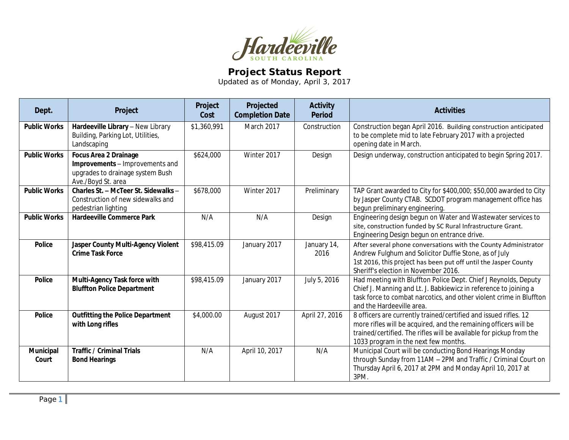

## **Project Status Report**

Updated as of Monday, April 3, 2017

| Dept.               | Project                                                                                                                   | Project<br>Cost | Projected<br><b>Completion Date</b> | <b>Activity</b><br><b>Period</b> | <b>Activities</b>                                                                                                                                                                                                                                   |
|---------------------|---------------------------------------------------------------------------------------------------------------------------|-----------------|-------------------------------------|----------------------------------|-----------------------------------------------------------------------------------------------------------------------------------------------------------------------------------------------------------------------------------------------------|
| <b>Public Works</b> | Hardeeville Library - New Library<br>Building, Parking Lot, Utilities,<br>Landscaping                                     | \$1,360,991     | March 2017                          | Construction                     | Construction began April 2016. Building construction anticipated<br>to be complete mid to late February 2017 with a projected<br>opening date in March.                                                                                             |
| <b>Public Works</b> | <b>Focus Area 2 Drainage</b><br>Improvements - Improvements and<br>upgrades to drainage system Bush<br>Ave./Boyd St. area | \$624,000       | Winter 2017                         | Design                           | Design underway, construction anticipated to begin Spring 2017.                                                                                                                                                                                     |
| <b>Public Works</b> | Charles St. - McTeer St. Sidewalks -<br>Construction of new sidewalks and<br>pedestrian lighting                          | \$678,000       | Winter 2017                         | Preliminary                      | TAP Grant awarded to City for \$400,000; \$50,000 awarded to City<br>by Jasper County CTAB. SCDOT program management office has<br>begun preliminary engineering.                                                                                   |
| <b>Public Works</b> | <b>Hardeeville Commerce Park</b>                                                                                          | N/A             | N/A                                 | Design                           | Engineering design begun on Water and Wastewater services to<br>site, construction funded by SC Rural Infrastructure Grant.<br>Engineering Design begun on entrance drive.                                                                          |
| <b>Police</b>       | Jasper County Multi-Agency Violent<br><b>Crime Task Force</b>                                                             | \$98,415.09     | January 2017                        | January 14,<br>2016              | After several phone conversations with the County Administrator<br>Andrew Fulghum and Solicitor Duffie Stone, as of July<br>1st 2016, this project has been put off until the Jasper County<br>Sheriff's election in November 2016.                 |
| Police              | Multi-Agency Task force with<br><b>Bluffton Police Department</b>                                                         | \$98,415.09     | January 2017                        | July 5, 2016                     | Had meeting with Bluffton Police Dept. Chief J Reynolds, Deputy<br>Chief J. Manning and Lt. J. Babkiewicz in reference to joining a<br>task force to combat narcotics, and other violent crime in Bluffton<br>and the Hardeeville area.             |
| <b>Police</b>       | <b>Outfitting the Police Department</b><br>with Long rifles                                                               | \$4,000.00      | August 2017                         | April 27, 2016                   | 8 officers are currently trained/certified and issued rifles. 12<br>more rifles will be acquired, and the remaining officers will be<br>trained/certified. The rifles will be available for pickup from the<br>1033 program in the next few months. |
| Municipal<br>Court  | <b>Traffic / Criminal Trials</b><br><b>Bond Hearings</b>                                                                  | N/A             | April 10, 2017                      | N/A                              | Municipal Court will be conducting Bond Hearings Monday<br>through Sunday from 11AM - 2PM and Traffic / Criminal Court on<br>Thursday April 6, 2017 at 2PM and Monday April 10, 2017 at<br>3PM.                                                     |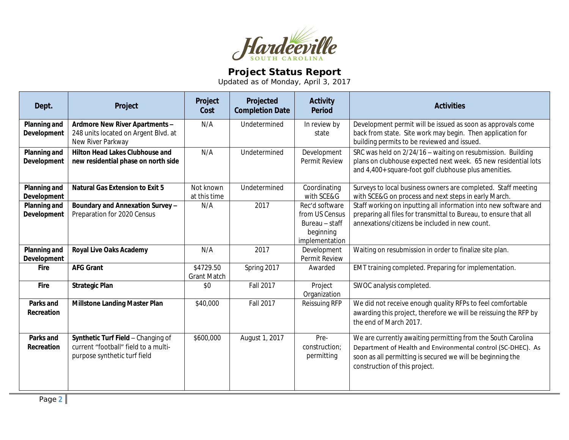

## **Project Status Report**

Updated as of Monday, April 3, 2017

| Dept.                                     | Project                                                                                                    | Project<br>Cost                 | Projected<br><b>Completion Date</b> | <b>Activity</b><br><b>Period</b>                                                  | <b>Activities</b>                                                                                                                                                                                                           |
|-------------------------------------------|------------------------------------------------------------------------------------------------------------|---------------------------------|-------------------------------------|-----------------------------------------------------------------------------------|-----------------------------------------------------------------------------------------------------------------------------------------------------------------------------------------------------------------------------|
| <b>Planning and</b><br>Development        | Ardmore New River Apartments -<br>248 units located on Argent Blvd. at<br>New River Parkway                | N/A                             | Undetermined                        | In review by<br>state                                                             | Development permit will be issued as soon as approvals come<br>back from state. Site work may begin. Then application for<br>building permits to be reviewed and issued.                                                    |
| <b>Planning and</b><br>Development        | <b>Hilton Head Lakes Clubhouse and</b><br>new residential phase on north side                              | N/A                             | Undetermined                        | Development<br>Permit Review                                                      | SRC was held on 2/24/16 - waiting on resubmission. Building<br>plans on clubhouse expected next week. 65 new residential lots<br>and 4,400+ square-foot golf clubhouse plus amenities.                                      |
| <b>Planning and</b><br><b>Development</b> | <b>Natural Gas Extension to Exit 5</b>                                                                     | Not known<br>at this time       | Undetermined                        | Coordinating<br>with SCE&G                                                        | Surveys to local business owners are completed. Staff meeting<br>with SCE&G on process and next steps in early March.                                                                                                       |
| Planning and<br>Development               | Boundary and Annexation Survey -<br>Preparation for 2020 Census                                            | N/A                             | 2017                                | Rec'd software<br>from US Census<br>Bureau - staff<br>beginning<br>implementation | Staff working on inputting all information into new software and<br>preparing all files for transmittal to Bureau, to ensure that all<br>annexations/citizens be included in new count.                                     |
| <b>Planning and</b><br><b>Development</b> | <b>Royal Live Oaks Academy</b>                                                                             | N/A                             | 2017                                | Development<br>Permit Review                                                      | Waiting on resubmission in order to finalize site plan.                                                                                                                                                                     |
| <b>Fire</b>                               | <b>AFG Grant</b>                                                                                           | \$4729.50<br><b>Grant Match</b> | Spring 2017                         | Awarded                                                                           | EMT training completed. Preparing for implementation.                                                                                                                                                                       |
| Fire                                      | <b>Strategic Plan</b>                                                                                      | \$0                             | Fall 2017                           | Project<br>Organization                                                           | SWOC analysis completed.                                                                                                                                                                                                    |
| <b>Parks and</b><br>Recreation            | <b>Millstone Landing Master Plan</b>                                                                       | \$40,000                        | <b>Fall 2017</b>                    | Reissuing RFP                                                                     | We did not receive enough quality RFPs to feel comfortable<br>awarding this project, therefore we will be reissuing the RFP by<br>the end of March 2017.                                                                    |
| <b>Parks and</b><br>Recreation            | Synthetic Turf Field - Changing of<br>current "football" field to a multi-<br>purpose synthetic turf field | \$600,000                       | August 1, 2017                      | Pre-<br>construction;<br>permitting                                               | We are currently awaiting permitting from the South Carolina<br>Department of Health and Environmental control (SC-DHEC). As<br>soon as all permitting is secured we will be beginning the<br>construction of this project. |